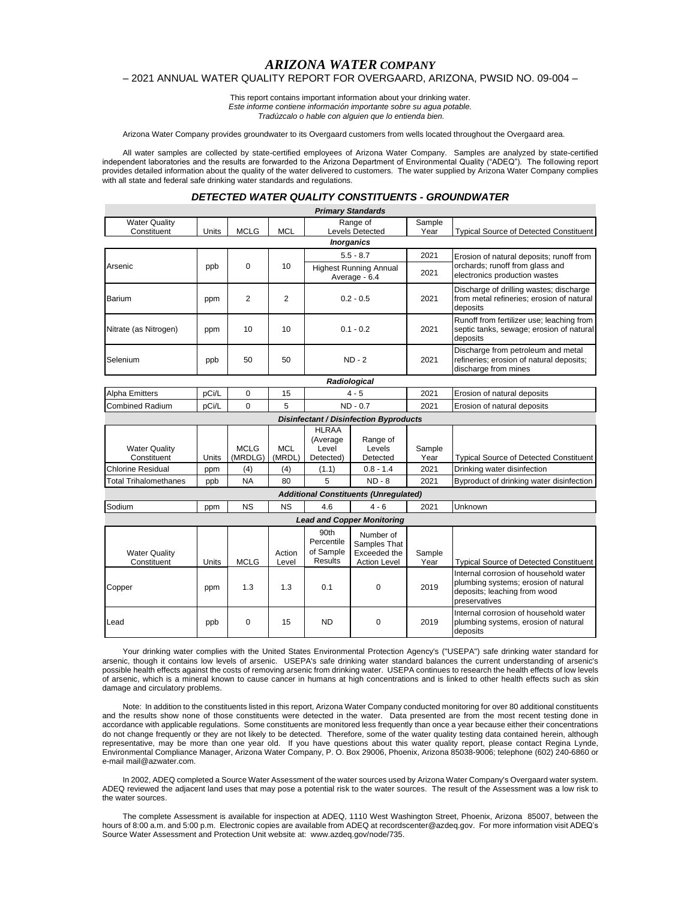# *ARIZONA WATER COMPANY*

## – 2021 ANNUAL WATER QUALITY REPORT FOR OVERGAARD, ARIZONA, PWSID NO. 09-004 –

This report contains important information about your drinking water. *Este informe contiene información importante sobre su agua potable. Tradúzcalo o hable con alguien que lo entienda bien.*

Arizona Water Company provides groundwater to its Overgaard customers from wells located throughout the Overgaard area.

All water samples are collected by state-certified employees of Arizona Water Company. Samples are analyzed by state-certified independent laboratories and the results are forwarded to the Arizona Department of Environmental Quality ("ADEQ"). The following report provides detailed information about the quality of the water delivered to customers. The water supplied by Arizona Water Company complies with all state and federal safe drinking water standards and regulations.

#### *DETECTED WATER QUALITY CONSTITUENTS - GROUNDWATER*

|                                     |                                               |                        |                      |                                                | <b>Primary Standards</b>                                         |                |                                                                                                                                |  |  |  |
|-------------------------------------|-----------------------------------------------|------------------------|----------------------|------------------------------------------------|------------------------------------------------------------------|----------------|--------------------------------------------------------------------------------------------------------------------------------|--|--|--|
| <b>Water Quality</b>                |                                               |                        |                      | Range of                                       |                                                                  | Sample         |                                                                                                                                |  |  |  |
| Constituent                         | Units                                         | <b>MCLG</b>            | <b>MCL</b>           |                                                | Levels Detected                                                  | Year           | <b>Typical Source of Detected Constituent</b>                                                                                  |  |  |  |
|                                     |                                               |                        |                      |                                                | <b>Inorganics</b>                                                |                |                                                                                                                                |  |  |  |
|                                     | ppb                                           | $\Omega$               | 10                   | $5.5 - 8.7$                                    |                                                                  | 2021           | Erosion of natural deposits; runoff from<br>orchards; runoff from glass and<br>electronics production wastes                   |  |  |  |
| Arsenic                             |                                               |                        |                      | <b>Highest Running Annual</b><br>Average - 6.4 |                                                                  | 2021           |                                                                                                                                |  |  |  |
| <b>Barium</b>                       | ppm                                           | 2                      | 2                    | $0.2 - 0.5$                                    |                                                                  | 2021           | Discharge of drilling wastes; discharge<br>from metal refineries; erosion of natural<br>deposits                               |  |  |  |
| Nitrate (as Nitrogen)               | ppm                                           | 10                     | 10                   | $0.1 - 0.2$                                    |                                                                  | 2021           | Runoff from fertilizer use; leaching from<br>septic tanks, sewage; erosion of natural<br>deposits                              |  |  |  |
| Selenium                            | ppb                                           | 50                     | 50                   | $ND - 2$                                       |                                                                  | 2021           | Discharge from petroleum and metal<br>refineries; erosion of natural deposits;<br>discharge from mines                         |  |  |  |
|                                     |                                               |                        |                      |                                                | Radiological                                                     |                |                                                                                                                                |  |  |  |
| <b>Alpha Emitters</b>               | pCi/L                                         | $\Omega$               | 15                   | $4 - 5$                                        |                                                                  | 2021           | Erosion of natural deposits                                                                                                    |  |  |  |
| <b>Combined Radium</b>              | pCi/L                                         | $\Omega$               | 5                    | $ND - 0.7$                                     |                                                                  | 2021           | Erosion of natural deposits                                                                                                    |  |  |  |
|                                     | <b>Disinfectant / Disinfection Byproducts</b> |                        |                      |                                                |                                                                  |                |                                                                                                                                |  |  |  |
|                                     |                                               |                        |                      | <b>HLRAA</b>                                   |                                                                  |                |                                                                                                                                |  |  |  |
|                                     |                                               |                        |                      | (Average)                                      | Range of                                                         |                |                                                                                                                                |  |  |  |
| <b>Water Quality</b><br>Constituent | Units                                         | <b>MCLG</b><br>(MRDLG) | <b>MCL</b><br>(MRDL) | Level<br>Detected)                             | Levels<br>Detected                                               | Sample<br>Year | <b>Typical Source of Detected Constituent</b>                                                                                  |  |  |  |
| <b>Chlorine Residual</b>            | ppm                                           | (4)                    | (4)                  | (1.1)                                          | $0.8 - 1.4$                                                      | 2021           | Drinking water disinfection                                                                                                    |  |  |  |
| <b>Total Trihalomethanes</b>        | ppb                                           | <b>NA</b>              | 80                   | 5                                              | $ND - 8$                                                         | 2021           | Byproduct of drinking water disinfection                                                                                       |  |  |  |
|                                     |                                               |                        |                      |                                                | <b>Additional Constituents (Unregulated)</b>                     |                |                                                                                                                                |  |  |  |
| Sodium                              | ppm                                           | <b>NS</b>              | <b>NS</b>            | 4.6                                            | $4 - 6$                                                          | 2021           | Unknown                                                                                                                        |  |  |  |
|                                     |                                               |                        |                      |                                                | <b>Lead and Copper Monitoring</b>                                |                |                                                                                                                                |  |  |  |
| <b>Water Quality</b><br>Constituent | Units                                         | <b>MCLG</b>            | Action<br>Level      | 90th<br>Percentile<br>of Sample<br>Results     | Number of<br>Samples That<br>Exceeded the<br><b>Action Level</b> | Sample<br>Year | <b>Typical Source of Detected Constituent</b>                                                                                  |  |  |  |
| Copper                              | ppm                                           | 1.3                    | 1.3                  | 0.1                                            | $\Omega$                                                         | 2019           | Internal corrosion of household water<br>plumbing systems; erosion of natural<br>deposits; leaching from wood<br>preservatives |  |  |  |
| Lead                                | ppb                                           | 0                      | 15                   | <b>ND</b>                                      | $\Omega$                                                         | 2019           | Internal corrosion of household water<br>plumbing systems, erosion of natural<br>deposits                                      |  |  |  |

Your drinking water complies with the United States Environmental Protection Agency's ("USEPA") safe drinking water standard for arsenic, though it contains low levels of arsenic. USEPA's safe drinking water standard balances the current understanding of arsenic's possible health effects against the costs of removing arsenic from drinking water. USEPA continues to research the health effects of low levels of arsenic, which is a mineral known to cause cancer in humans at high concentrations and is linked to other health effects such as skin damage and circulatory problems.

Note: In addition to the constituents listed in this report, Arizona Water Company conducted monitoring for over 80 additional constituents and the results show none of those constituents were detected in the water. Data presented are from the most recent testing done in accordance with applicable regulations. Some constituents are monitored less frequently than once a year because either their concentrations do not change frequently or they are not likely to be detected. Therefore, some of the water quality testing data contained herein, although representative, may be more than one year old. If you have questions about this water quality report, please contact Regina Lynde, Environmental Compliance Manager, Arizona Water Company, P. O. Box 29006, Phoenix, Arizona 85038-9006; telephone (602) 240-6860 or e-mail mail@azwater.com.

In 2002, ADEQ completed a Source Water Assessment of the water sources used by Arizona Water Company's Overgaard water system. ADEQ reviewed the adjacent land uses that may pose a potential risk to the water sources. The result of the Assessment was a low risk to the water sources.

The complete Assessment is available for inspection at ADEQ, 1110 West Washington Street, Phoenix, Arizona 85007, between the hours of 8:00 a.m. and 5:00 p.m. Electronic copies are available from ADEQ at recordscenter@azdeq.gov. For more information visit ADEQ's Source Water Assessment and Protection Unit website at: www.azdeq.gov/node/735.